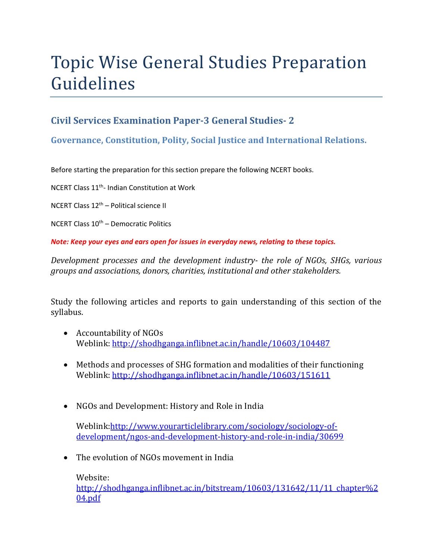# Topic Wise General Studies Preparation Guidelines

### **Civil Services Examination Paper-3 General Studies- 2**

#### **Governance, Constitution, Polity, Social Justice and International Relations.**

Before starting the preparation for this section prepare the following NCERT books.

NCERT Class 11th- Indian Constitution at Work

NCERT Class 12th – Political science II

NCERT Class  $10<sup>th</sup>$  – Democratic Politics

*Note: Keep your eyes and ears open for issues in everyday news, relating to these topics.* 

*Development processes and the development industry- the role of NGOs, SHGs, various groups and associations, donors, charities, institutional and other stakeholders.* 

Study the following articles and reports to gain understanding of this section of the syllabus.

- Accountability of NGOs Weblink: http://shodhganga.inflibnet.ac.in/handle/10603/104487
- Methods and processes of SHG formation and modalities of their functioning Weblink: http://shodhganga.inflibnet.ac.in/handle/10603/151611
- NGOs and Development: History and Role in India

Weblink:http://www.yourarticlelibrary.com/sociology/sociology-ofdevelopment/ngos-and-development-history-and-role-in-india/30699

• The evolution of NGOs movement in India

Website: http://shodhganga.inflibnet.ac.in/bitstream/10603/131642/11/11\_chapter%2 04.pdf